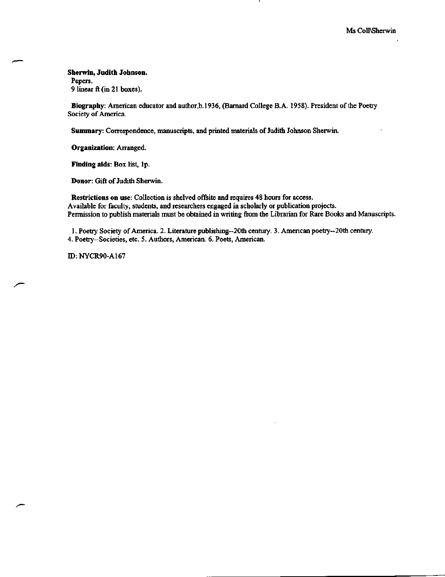**Sherwin, Judith Johnson.** Papers. 9 linear ft (in 21 boxes).

**Biography:** American educator and author,b.l936, (Barnard College B.A. 1958). President of the Poetry Society of America.

Summary: Correspondence, manuscripts, and printed materials of Judith Johnson Sherwin.

**Organization:** Arranged.

**Finding aids:** Box list, lp.

**Donor:** Gift of Judith Sherwin.

**Restrictions on** use: Collection is shelved offsite and requires 48 hours for access. Available for faculty, students, and researchers engaged in scholarly or publication projects. Permission to publish materials must be obtained in writing from the Librarian for Rare Books and Manuscripts.

1. Poetry Society of America. 2. Literature publishing—20th century. 3. American poetry--20th century. 4. Poetry—Societies, etc. 5. Authors, American. 6. Poets, American.

JD: NYCR90-A167